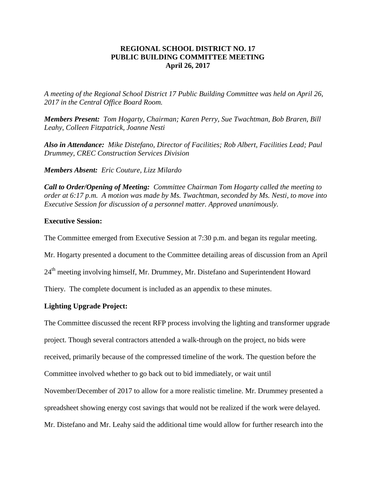## **REGIONAL SCHOOL DISTRICT NO. 17 PUBLIC BUILDING COMMITTEE MEETING April 26, 2017**

*A meeting of the Regional School District 17 Public Building Committee was held on April 26, 2017 in the Central Office Board Room.*

*Members Present: Tom Hogarty, Chairman; Karen Perry, Sue Twachtman, Bob Braren, Bill Leahy, Colleen Fitzpatrick, Joanne Nesti*

*Also in Attendance: Mike Distefano, Director of Facilities; Rob Albert, Facilities Lead; Paul Drummey, CREC Construction Services Division* 

*Members Absent: Eric Couture, Lizz Milardo*

*Call to Order/Opening of Meeting: Committee Chairman Tom Hogarty called the meeting to order at 6:17 p.m. A motion was made by Ms. Twachtman, seconded by Ms. Nesti, to move into Executive Session for discussion of a personnel matter. Approved unanimously.*

### **Executive Session:**

The Committee emerged from Executive Session at 7:30 p.m. and began its regular meeting.

Mr. Hogarty presented a document to the Committee detailing areas of discussion from an April

24<sup>th</sup> meeting involving himself, Mr. Drummey, Mr. Distefano and Superintendent Howard

Thiery. The complete document is included as an appendix to these minutes.

## **Lighting Upgrade Project:**

The Committee discussed the recent RFP process involving the lighting and transformer upgrade

project. Though several contractors attended a walk-through on the project, no bids were

received, primarily because of the compressed timeline of the work. The question before the

Committee involved whether to go back out to bid immediately, or wait until

November/December of 2017 to allow for a more realistic timeline. Mr. Drummey presented a

spreadsheet showing energy cost savings that would not be realized if the work were delayed.

Mr. Distefano and Mr. Leahy said the additional time would allow for further research into the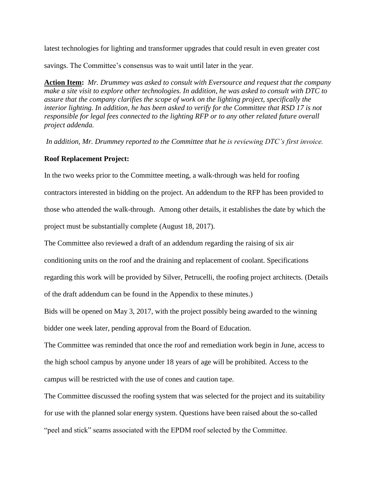latest technologies for lighting and transformer upgrades that could result in even greater cost

savings. The Committee's consensus was to wait until later in the year.

**Action Item:** *Mr. Drummey was asked to consult with Eversource and request that the company make a site visit to explore other technologies. In addition, he was asked to consult with DTC to assure that the company clarifies the scope of work on the lighting project, specifically the interior lighting. In addition, he has been asked to verify for the Committee that RSD 17 is not responsible for legal fees connected to the lighting RFP or to any other related future overall project addenda.*

*In addition, Mr. Drummey reported to the Committee that he is reviewing DTC's first invoice.*

## **Roof Replacement Project:**

In the two weeks prior to the Committee meeting, a walk-through was held for roofing contractors interested in bidding on the project. An addendum to the RFP has been provided to those who attended the walk-through. Among other details, it establishes the date by which the project must be substantially complete (August 18, 2017).

The Committee also reviewed a draft of an addendum regarding the raising of six air

conditioning units on the roof and the draining and replacement of coolant. Specifications

regarding this work will be provided by Silver, Petrucelli, the roofing project architects. (Details

of the draft addendum can be found in the Appendix to these minutes.)

Bids will be opened on May 3, 2017, with the project possibly being awarded to the winning bidder one week later, pending approval from the Board of Education.

The Committee was reminded that once the roof and remediation work begin in June, access to the high school campus by anyone under 18 years of age will be prohibited. Access to the campus will be restricted with the use of cones and caution tape.

The Committee discussed the roofing system that was selected for the project and its suitability for use with the planned solar energy system. Questions have been raised about the so-called "peel and stick" seams associated with the EPDM roof selected by the Committee.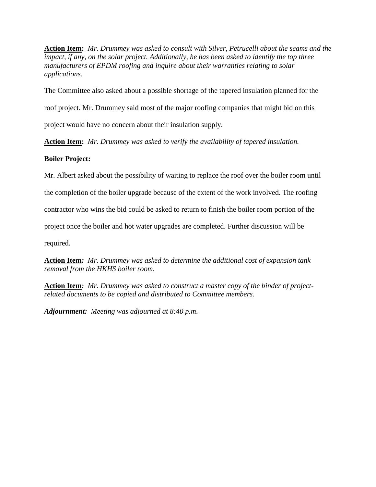**Action Item:** *Mr. Drummey was asked to consult with Silver, Petrucelli about the seams and the impact, if any, on the solar project. Additionally, he has been asked to identify the top three manufacturers of EPDM roofing and inquire about their warranties relating to solar applications.* 

The Committee also asked about a possible shortage of the tapered insulation planned for the

roof project. Mr. Drummey said most of the major roofing companies that might bid on this

project would have no concern about their insulation supply.

**Action Item:** *Mr. Drummey was asked to verify the availability of tapered insulation.* 

## **Boiler Project:**

Mr. Albert asked about the possibility of waiting to replace the roof over the boiler room until

the completion of the boiler upgrade because of the extent of the work involved. The roofing

contractor who wins the bid could be asked to return to finish the boiler room portion of the

project once the boiler and hot water upgrades are completed. Further discussion will be

required.

**Action Item***: Mr. Drummey was asked to determine the additional cost of expansion tank removal from the HKHS boiler room.*

**Action Item***: Mr. Drummey was asked to construct a master copy of the binder of projectrelated documents to be copied and distributed to Committee members.*

*Adjournment: Meeting was adjourned at 8:40 p.m*.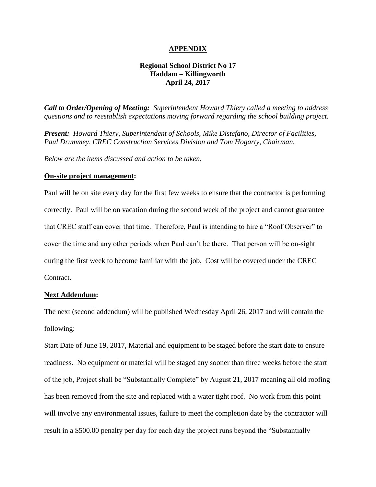#### **APPENDIX**

### **Regional School District No 17 Haddam – Killingworth April 24, 2017**

*Call to Order/Opening of Meeting: Superintendent Howard Thiery called a meeting to address questions and to reestablish expectations moving forward regarding the school building project.* 

*Present: Howard Thiery, Superintendent of Schools, Mike Distefano, Director of Facilities, Paul Drummey, CREC Construction Services Division and Tom Hogarty, Chairman.* 

*Below are the items discussed and action to be taken.*

#### **On-site project management:**

Paul will be on site every day for the first few weeks to ensure that the contractor is performing correctly. Paul will be on vacation during the second week of the project and cannot guarantee that CREC staff can cover that time. Therefore, Paul is intending to hire a "Roof Observer" to cover the time and any other periods when Paul can't be there. That person will be on-sight during the first week to become familiar with the job. Cost will be covered under the CREC Contract.

#### **Next Addendum:**

The next (second addendum) will be published Wednesday April 26, 2017 and will contain the following:

Start Date of June 19, 2017, Material and equipment to be staged before the start date to ensure readiness. No equipment or material will be staged any sooner than three weeks before the start of the job, Project shall be "Substantially Complete" by August 21, 2017 meaning all old roofing has been removed from the site and replaced with a water tight roof. No work from this point will involve any environmental issues, failure to meet the completion date by the contractor will result in a \$500.00 penalty per day for each day the project runs beyond the "Substantially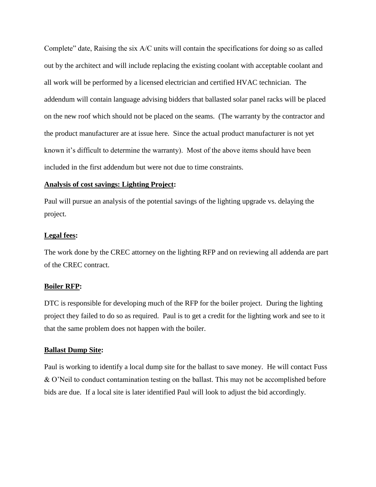Complete" date, Raising the six A/C units will contain the specifications for doing so as called out by the architect and will include replacing the existing coolant with acceptable coolant and all work will be performed by a licensed electrician and certified HVAC technician. The addendum will contain language advising bidders that ballasted solar panel racks will be placed on the new roof which should not be placed on the seams. (The warranty by the contractor and the product manufacturer are at issue here. Since the actual product manufacturer is not yet known it's difficult to determine the warranty). Most of the above items should have been included in the first addendum but were not due to time constraints.

### **Analysis of cost savings: Lighting Project:**

Paul will pursue an analysis of the potential savings of the lighting upgrade vs. delaying the project.

#### **Legal fees:**

The work done by the CREC attorney on the lighting RFP and on reviewing all addenda are part of the CREC contract.

## **Boiler RFP:**

DTC is responsible for developing much of the RFP for the boiler project. During the lighting project they failed to do so as required. Paul is to get a credit for the lighting work and see to it that the same problem does not happen with the boiler.

#### **Ballast Dump Site:**

Paul is working to identify a local dump site for the ballast to save money. He will contact Fuss & O'Neil to conduct contamination testing on the ballast. This may not be accomplished before bids are due. If a local site is later identified Paul will look to adjust the bid accordingly.